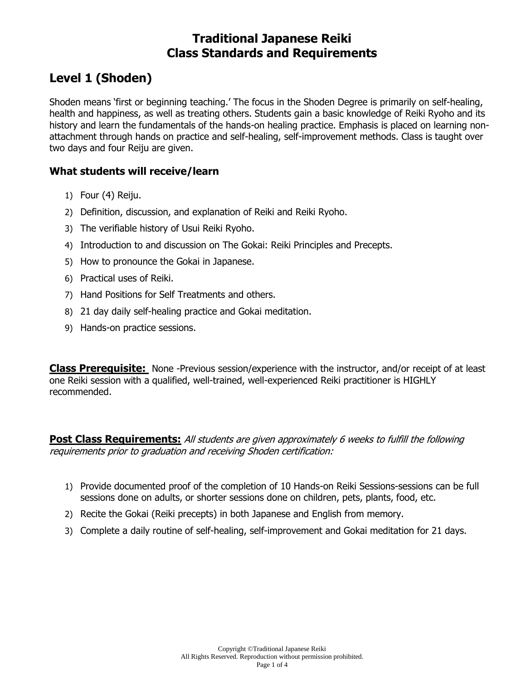## **Traditional Japanese Reiki Class Standards and Requirements**

# **Level 1 (Shoden)**

Shoden means 'first or beginning teaching.' The focus in the Shoden Degree is primarily on self-healing, health and happiness, as well as treating others. Students gain a basic knowledge of Reiki Ryoho and its history and learn the fundamentals of the hands-on healing practice. Emphasis is placed on learning nonattachment through hands on practice and self-healing, self-improvement methods. Class is taught over two days and four Reiju are given.

### **What students will receive/learn**

- 1) Four (4) Reiju.
- 2) Definition, discussion, and explanation of Reiki and Reiki Ryoho.
- 3) The verifiable history of Usui Reiki Ryoho.
- 4) Introduction to and discussion on The Gokai: Reiki Principles and Precepts.
- 5) How to pronounce the Gokai in Japanese.
- 6) Practical uses of Reiki.
- 7) Hand Positions for Self Treatments and others.
- 8) 21 day daily self-healing practice and Gokai meditation.
- 9) Hands-on practice sessions.

**Class Prerequisite:** None -Previous session/experience with the instructor, and/or receipt of at least one Reiki session with a qualified, well-trained, well-experienced Reiki practitioner is HIGHLY recommended.

**Post Class Requirements:** All students are given approximately 6 weeks to fulfill the following requirements prior to graduation and receiving Shoden certification:

- 1) Provide documented proof of the completion of 10 Hands-on Reiki Sessions-sessions can be full sessions done on adults, or shorter sessions done on children, pets, plants, food, etc.
- 2) Recite the Gokai (Reiki precepts) in both Japanese and English from memory.
- 3) Complete a daily routine of self-healing, self-improvement and Gokai meditation for 21 days.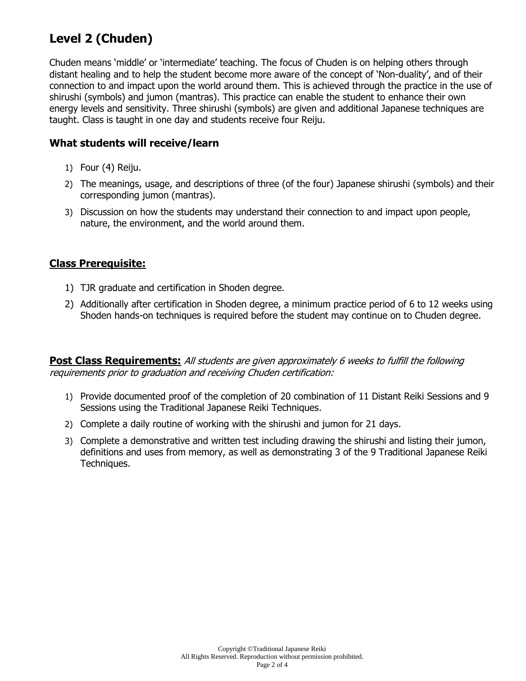# **Level 2 (Chuden)**

Chuden means 'middle' or 'intermediate' teaching. The focus of Chuden is on helping others through distant healing and to help the student become more aware of the concept of 'Non-duality', and of their connection to and impact upon the world around them. This is achieved through the practice in the use of shirushi (symbols) and jumon (mantras). This practice can enable the student to enhance their own energy levels and sensitivity. Three shirushi (symbols) are given and additional Japanese techniques are taught. Class is taught in one day and students receive four Reiju.

### **What students will receive/learn**

- 1) Four (4) Reiju.
- 2) The meanings, usage, and descriptions of three (of the four) Japanese shirushi (symbols) and their corresponding jumon (mantras).
- 3) Discussion on how the students may understand their connection to and impact upon people, nature, the environment, and the world around them.

## **Class Prerequisite:**

- 1) TJR graduate and certification in Shoden degree.
- 2) Additionally after certification in Shoden degree, a minimum practice period of 6 to 12 weeks using Shoden hands-on techniques is required before the student may continue on to Chuden degree.

**Post Class Requirements:** All students are given approximately 6 weeks to fulfill the following requirements prior to graduation and receiving Chuden certification:

- 1) Provide documented proof of the completion of 20 combination of 11 Distant Reiki Sessions and 9 Sessions using the Traditional Japanese Reiki Techniques.
- 2) Complete a daily routine of working with the shirushi and jumon for 21 days.
- 3) Complete a demonstrative and written test including drawing the shirushi and listing their jumon, definitions and uses from memory, as well as demonstrating 3 of the 9 Traditional Japanese Reiki Techniques.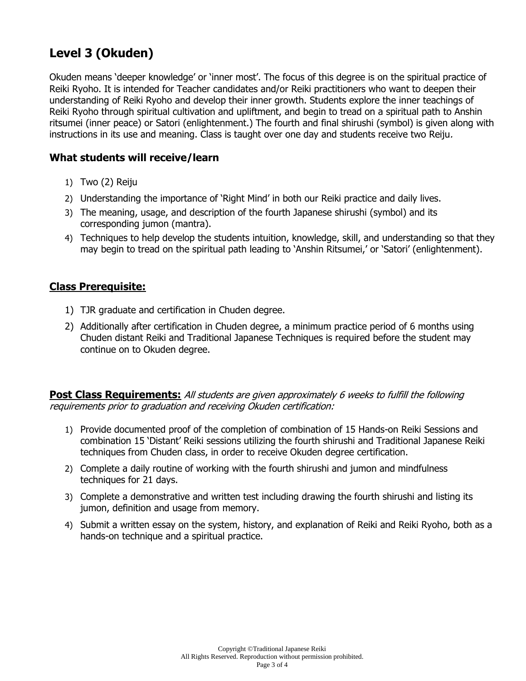# **Level 3 (Okuden)**

Okuden means 'deeper knowledge' or 'inner most'. The focus of this degree is on the spiritual practice of Reiki Ryoho. It is intended for Teacher candidates and/or Reiki practitioners who want to deepen their understanding of Reiki Ryoho and develop their inner growth. Students explore the inner teachings of Reiki Ryoho through spiritual cultivation and upliftment, and begin to tread on a spiritual path to Anshin ritsumei (inner peace) or Satori (enlightenment.) The fourth and final shirushi (symbol) is given along with instructions in its use and meaning. Class is taught over one day and students receive two Reiju.

### **What students will receive/learn**

- 1) Two (2) Reiju
- 2) Understanding the importance of 'Right Mind' in both our Reiki practice and daily lives.
- 3) The meaning, usage, and description of the fourth Japanese shirushi (symbol) and its corresponding jumon (mantra).
- 4) Techniques to help develop the students intuition, knowledge, skill, and understanding so that they may begin to tread on the spiritual path leading to 'Anshin Ritsumei,' or 'Satori' (enlightenment).

#### **Class Prerequisite:**

- 1) TJR graduate and certification in Chuden degree.
- 2) Additionally after certification in Chuden degree, a minimum practice period of 6 months using Chuden distant Reiki and Traditional Japanese Techniques is required before the student may continue on to Okuden degree.

**Post Class Requirements:** All students are given approximately 6 weeks to fulfill the following requirements prior to graduation and receiving Okuden certification:

- 1) Provide documented proof of the completion of combination of 15 Hands-on Reiki Sessions and combination 15 'Distant' Reiki sessions utilizing the fourth shirushi and Traditional Japanese Reiki techniques from Chuden class, in order to receive Okuden degree certification.
- 2) Complete a daily routine of working with the fourth shirushi and jumon and mindfulness techniques for 21 days.
- 3) Complete a demonstrative and written test including drawing the fourth shirushi and listing its jumon, definition and usage from memory.
- 4) Submit a written essay on the system, history, and explanation of Reiki and Reiki Ryoho, both as a hands-on technique and a spiritual practice.